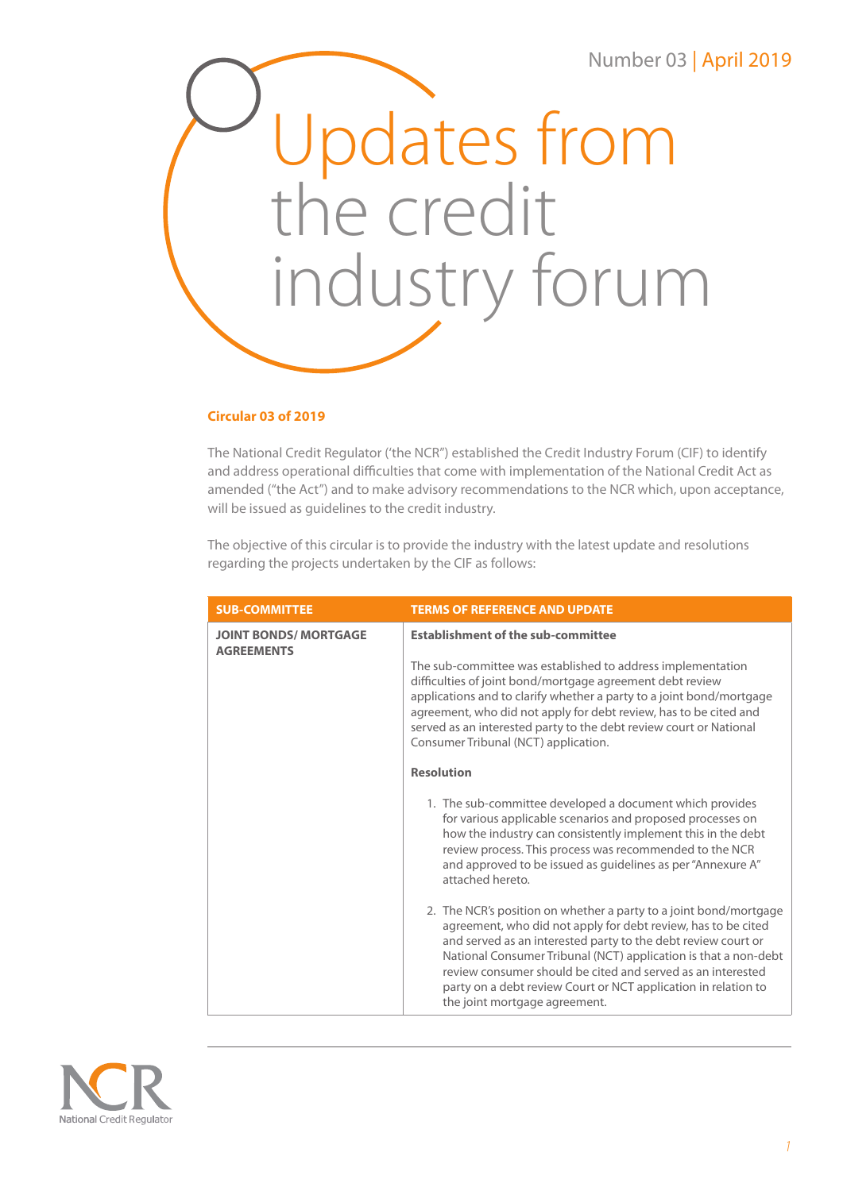# Number 03 | April 2019



### **Circular 03 of 2019**

The National Credit Regulator ('the NCR") established the Credit Industry Forum (CIF) to identify and address operational difficulties that come with implementation of the National Credit Act as amended ("the Act") and to make advisory recommendations to the NCR which, upon acceptance, will be issued as guidelines to the credit industry.

The objective of this circular is to provide the industry with the latest update and resolutions regarding the projects undertaken by the CIF as follows:

| <b>SUB-COMMITTEE</b>                              | <b>TERMS OF REFERENCE AND UPDATE</b>                                                                                                                                                                                                                                                                                                                                                                                                     |
|---------------------------------------------------|------------------------------------------------------------------------------------------------------------------------------------------------------------------------------------------------------------------------------------------------------------------------------------------------------------------------------------------------------------------------------------------------------------------------------------------|
| <b>JOINT BONDS/ MORTGAGE</b><br><b>AGREEMENTS</b> | <b>Establishment of the sub-committee</b>                                                                                                                                                                                                                                                                                                                                                                                                |
|                                                   | The sub-committee was established to address implementation<br>difficulties of joint bond/mortgage agreement debt review<br>applications and to clarify whether a party to a joint bond/mortgage<br>agreement, who did not apply for debt review, has to be cited and<br>served as an interested party to the debt review court or National<br>Consumer Tribunal (NCT) application.                                                      |
|                                                   | <b>Resolution</b>                                                                                                                                                                                                                                                                                                                                                                                                                        |
|                                                   | 1. The sub-committee developed a document which provides<br>for various applicable scenarios and proposed processes on<br>how the industry can consistently implement this in the debt<br>review process. This process was recommended to the NCR<br>and approved to be issued as guidelines as per "Annexure A"<br>attached hereto.                                                                                                     |
|                                                   | 2. The NCR's position on whether a party to a joint bond/mortgage<br>agreement, who did not apply for debt review, has to be cited<br>and served as an interested party to the debt review court or<br>National Consumer Tribunal (NCT) application is that a non-debt<br>review consumer should be cited and served as an interested<br>party on a debt review Court or NCT application in relation to<br>the joint mortgage agreement. |

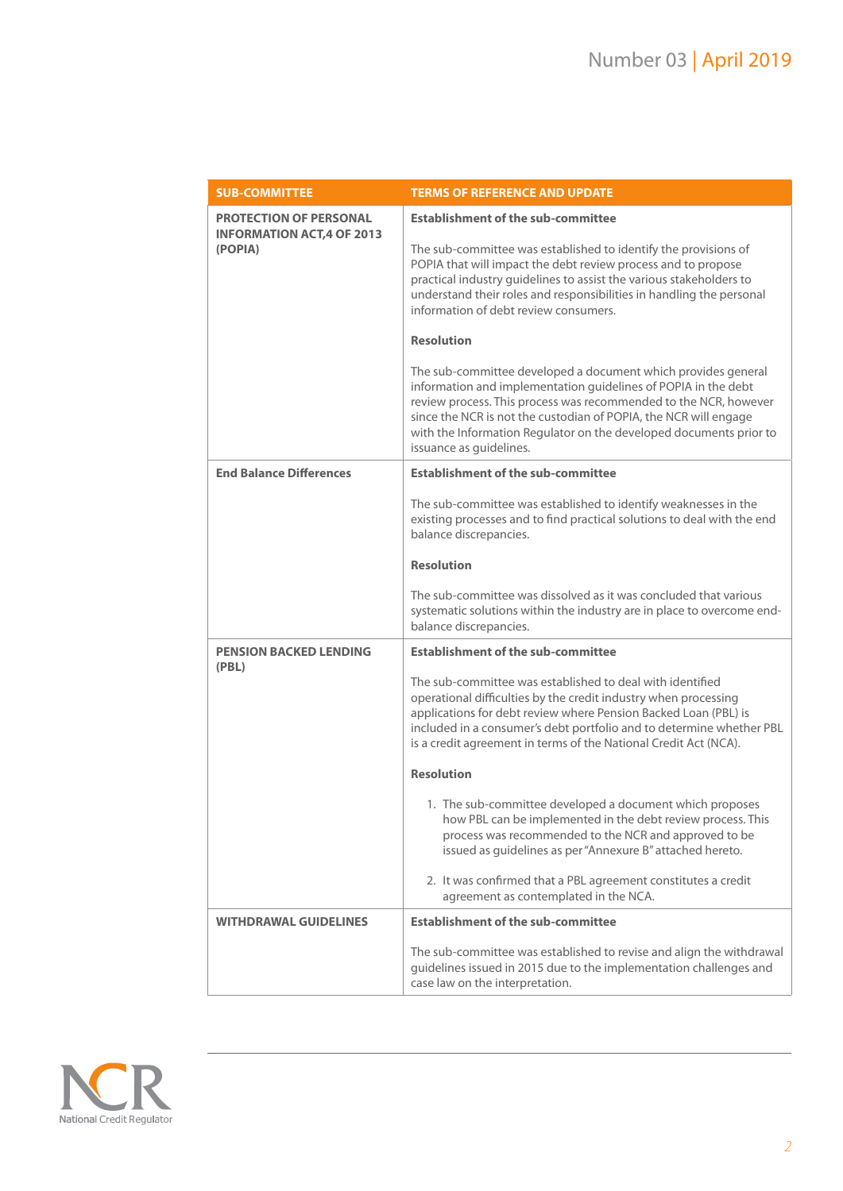| <b>SUB-COMMITTEE</b>                                                          | <b>TERMS OF REFERENCE AND UPDATE</b>                                                                                                                                                                                                                                                                                                                                                                                                                                                                                                                                                                                                                                                                                                                                   |
|-------------------------------------------------------------------------------|------------------------------------------------------------------------------------------------------------------------------------------------------------------------------------------------------------------------------------------------------------------------------------------------------------------------------------------------------------------------------------------------------------------------------------------------------------------------------------------------------------------------------------------------------------------------------------------------------------------------------------------------------------------------------------------------------------------------------------------------------------------------|
| <b>PROTECTION OF PERSONAL</b><br><b>INFORMATION ACT, 4 OF 2013</b><br>(POPIA) | <b>Establishment of the sub-committee</b><br>The sub-committee was established to identify the provisions of<br>POPIA that will impact the debt review process and to propose<br>practical industry guidelines to assist the various stakeholders to<br>understand their roles and responsibilities in handling the personal<br>information of debt review consumers.<br><b>Resolution</b><br>The sub-committee developed a document which provides general<br>information and implementation guidelines of POPIA in the debt<br>review process. This process was recommended to the NCR, however<br>since the NCR is not the custodian of POPIA, the NCR will engage<br>with the Information Regulator on the developed documents prior to<br>issuance as guidelines. |
| <b>End Balance Differences</b>                                                | <b>Establishment of the sub-committee</b>                                                                                                                                                                                                                                                                                                                                                                                                                                                                                                                                                                                                                                                                                                                              |
|                                                                               | The sub-committee was established to identify weaknesses in the<br>existing processes and to find practical solutions to deal with the end<br>balance discrepancies.                                                                                                                                                                                                                                                                                                                                                                                                                                                                                                                                                                                                   |
|                                                                               | <b>Resolution</b>                                                                                                                                                                                                                                                                                                                                                                                                                                                                                                                                                                                                                                                                                                                                                      |
|                                                                               | The sub-committee was dissolved as it was concluded that various<br>systematic solutions within the industry are in place to overcome end-<br>balance discrepancies.                                                                                                                                                                                                                                                                                                                                                                                                                                                                                                                                                                                                   |
| <b>PENSION BACKED LENDING</b><br>(PBL)                                        | <b>Establishment of the sub-committee</b>                                                                                                                                                                                                                                                                                                                                                                                                                                                                                                                                                                                                                                                                                                                              |
|                                                                               | The sub-committee was established to deal with identified<br>operational difficulties by the credit industry when processing<br>applications for debt review where Pension Backed Loan (PBL) is<br>included in a consumer's debt portfolio and to determine whether PBL<br>is a credit agreement in terms of the National Credit Act (NCA).                                                                                                                                                                                                                                                                                                                                                                                                                            |
|                                                                               | <b>Resolution</b>                                                                                                                                                                                                                                                                                                                                                                                                                                                                                                                                                                                                                                                                                                                                                      |
|                                                                               | 1. The sub-committee developed a document which proposes<br>how PBL can be implemented in the debt review process. This<br>process was recommended to the NCR and approved to be<br>issued as guidelines as per "Annexure B" attached hereto.                                                                                                                                                                                                                                                                                                                                                                                                                                                                                                                          |
|                                                                               | 2. It was confirmed that a PBL agreement constitutes a credit<br>agreement as contemplated in the NCA.                                                                                                                                                                                                                                                                                                                                                                                                                                                                                                                                                                                                                                                                 |
| <b>WITHDRAWAL GUIDELINES</b>                                                  | <b>Establishment of the sub-committee</b>                                                                                                                                                                                                                                                                                                                                                                                                                                                                                                                                                                                                                                                                                                                              |
|                                                                               | The sub-committee was established to revise and align the withdrawal<br>guidelines issued in 2015 due to the implementation challenges and<br>case law on the interpretation.                                                                                                                                                                                                                                                                                                                                                                                                                                                                                                                                                                                          |

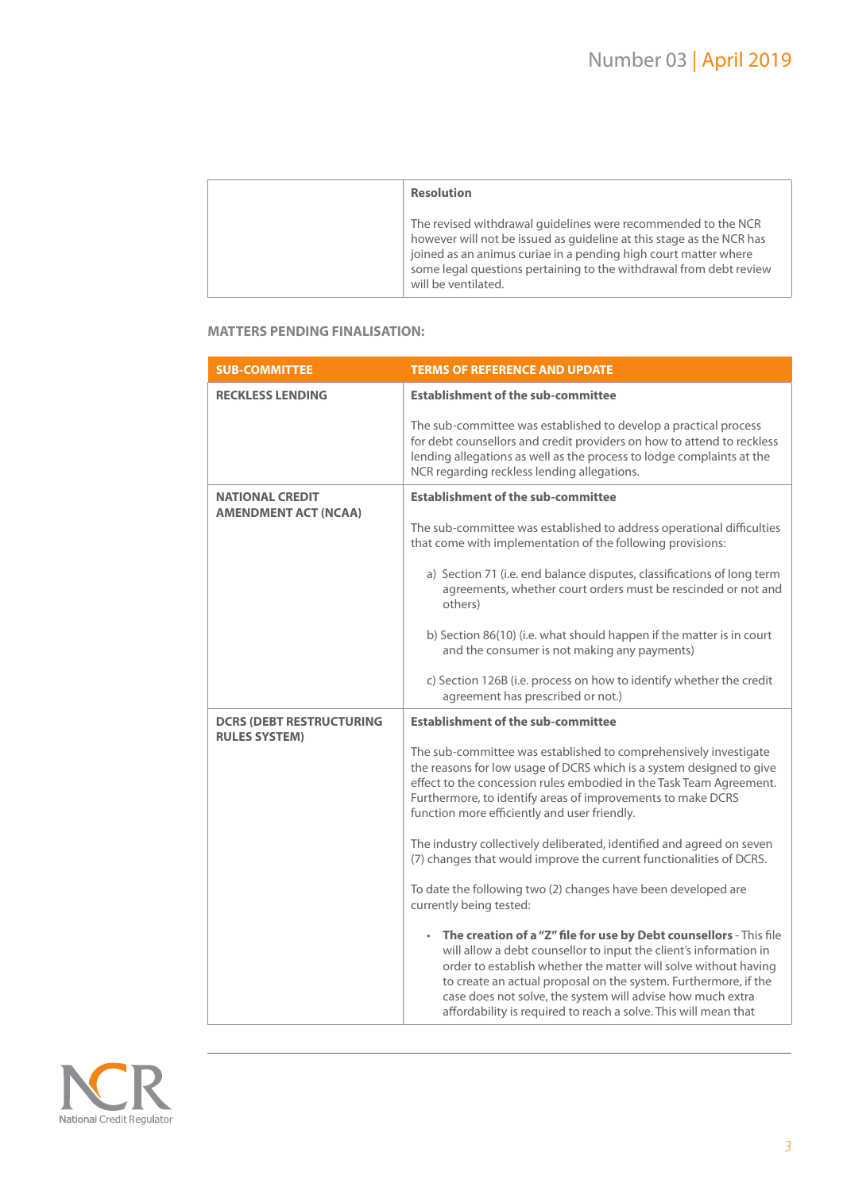| <b>Resolution</b>                                                                                                                                                                                                                                                                                     |
|-------------------------------------------------------------------------------------------------------------------------------------------------------------------------------------------------------------------------------------------------------------------------------------------------------|
| The revised withdrawal guidelines were recommended to the NCR<br>however will not be issued as quideline at this stage as the NCR has<br>joined as an animus curiae in a pending high court matter where<br>some legal questions pertaining to the withdrawal from debt review<br>will be ventilated. |

#### **MATTERS PENDING FINALISATION:**

| <b>SUB-COMMITTEE</b>                                  | <b>TERMS OF REFERENCE AND UPDATE</b>                                                                                                                                                                                                                                                                                                                                                                             |
|-------------------------------------------------------|------------------------------------------------------------------------------------------------------------------------------------------------------------------------------------------------------------------------------------------------------------------------------------------------------------------------------------------------------------------------------------------------------------------|
| <b>RECKLESS LENDING</b>                               | <b>Establishment of the sub-committee</b>                                                                                                                                                                                                                                                                                                                                                                        |
|                                                       | The sub-committee was established to develop a practical process<br>for debt counsellors and credit providers on how to attend to reckless<br>lending allegations as well as the process to lodge complaints at the<br>NCR regarding reckless lending allegations.                                                                                                                                               |
| <b>NATIONAL CREDIT</b><br><b>AMENDMENT ACT (NCAA)</b> | <b>Establishment of the sub-committee</b>                                                                                                                                                                                                                                                                                                                                                                        |
|                                                       | The sub-committee was established to address operational difficulties<br>that come with implementation of the following provisions:                                                                                                                                                                                                                                                                              |
|                                                       | a) Section 71 (i.e. end balance disputes, classifications of long term<br>agreements, whether court orders must be rescinded or not and<br>others)                                                                                                                                                                                                                                                               |
|                                                       | b) Section 86(10) (i.e. what should happen if the matter is in court<br>and the consumer is not making any payments)                                                                                                                                                                                                                                                                                             |
|                                                       | c) Section 126B (i.e. process on how to identify whether the credit<br>agreement has prescribed or not.)                                                                                                                                                                                                                                                                                                         |
| <b>DCRS (DEBT RESTRUCTURING</b>                       | <b>Establishment of the sub-committee</b>                                                                                                                                                                                                                                                                                                                                                                        |
| <b>RULES SYSTEM)</b>                                  | The sub-committee was established to comprehensively investigate<br>the reasons for low usage of DCRS which is a system designed to give<br>effect to the concession rules embodied in the Task Team Agreement.<br>Furthermore, to identify areas of improvements to make DCRS<br>function more efficiently and user friendly.                                                                                   |
|                                                       | The industry collectively deliberated, identified and agreed on seven<br>(7) changes that would improve the current functionalities of DCRS.                                                                                                                                                                                                                                                                     |
|                                                       | To date the following two (2) changes have been developed are<br>currently being tested:                                                                                                                                                                                                                                                                                                                         |
|                                                       | • The creation of a "Z" file for use by Debt counsellors - This file<br>will allow a debt counsellor to input the client's information in<br>order to establish whether the matter will solve without having<br>to create an actual proposal on the system. Furthermore, if the<br>case does not solve, the system will advise how much extra<br>affordability is required to reach a solve. This will mean that |

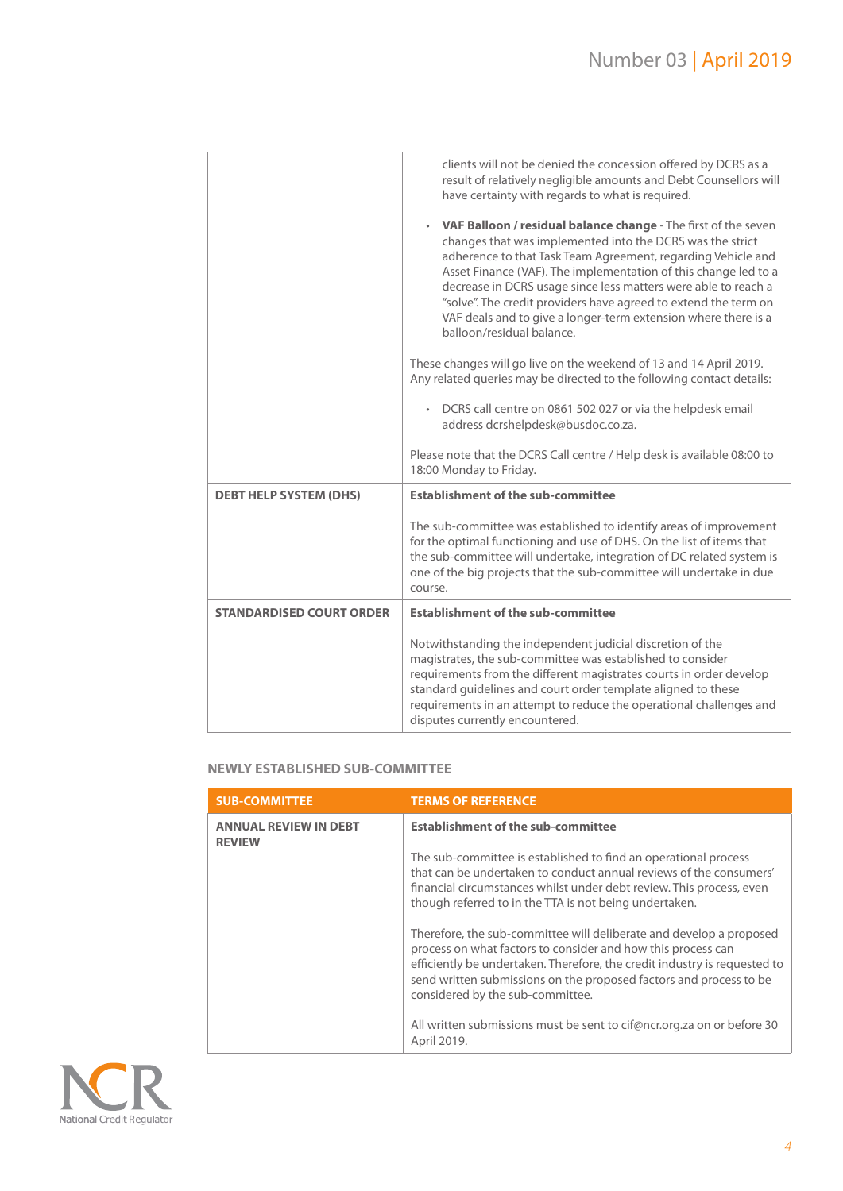|                                 | clients will not be denied the concession offered by DCRS as a<br>result of relatively negligible amounts and Debt Counsellors will<br>have certainty with regards to what is required.                                                                                                                                                                                                                                                                                                                   |
|---------------------------------|-----------------------------------------------------------------------------------------------------------------------------------------------------------------------------------------------------------------------------------------------------------------------------------------------------------------------------------------------------------------------------------------------------------------------------------------------------------------------------------------------------------|
|                                 | <b>VAF Balloon / residual balance change</b> - The first of the seven<br>changes that was implemented into the DCRS was the strict<br>adherence to that Task Team Agreement, regarding Vehicle and<br>Asset Finance (VAF). The implementation of this change led to a<br>decrease in DCRS usage since less matters were able to reach a<br>"solve". The credit providers have agreed to extend the term on<br>VAF deals and to give a longer-term extension where there is a<br>balloon/residual balance. |
|                                 | These changes will go live on the weekend of 13 and 14 April 2019.<br>Any related queries may be directed to the following contact details:                                                                                                                                                                                                                                                                                                                                                               |
|                                 | DCRS call centre on 0861 502 027 or via the helpdesk email<br>address dcrshelpdesk@busdoc.co.za.                                                                                                                                                                                                                                                                                                                                                                                                          |
|                                 | Please note that the DCRS Call centre / Help desk is available 08:00 to<br>18:00 Monday to Friday.                                                                                                                                                                                                                                                                                                                                                                                                        |
| <b>DEBT HELP SYSTEM (DHS)</b>   | <b>Establishment of the sub-committee</b>                                                                                                                                                                                                                                                                                                                                                                                                                                                                 |
|                                 | The sub-committee was established to identify areas of improvement<br>for the optimal functioning and use of DHS. On the list of items that<br>the sub-committee will undertake, integration of DC related system is<br>one of the big projects that the sub-committee will undertake in due<br>course.                                                                                                                                                                                                   |
| <b>STANDARDISED COURT ORDER</b> | <b>Establishment of the sub-committee</b>                                                                                                                                                                                                                                                                                                                                                                                                                                                                 |
|                                 | Notwithstanding the independent judicial discretion of the<br>magistrates, the sub-committee was established to consider<br>requirements from the different magistrates courts in order develop                                                                                                                                                                                                                                                                                                           |

## **NEWLY ESTABLISHED SUB-COMMITTEE**

| <b>SUB-COMMITTEE</b>                          | <b>TERMS OF REFERENCE</b>                                                                                                                                                                                                                                                                                                  |
|-----------------------------------------------|----------------------------------------------------------------------------------------------------------------------------------------------------------------------------------------------------------------------------------------------------------------------------------------------------------------------------|
| <b>ANNUAL REVIEW IN DEBT</b><br><b>REVIEW</b> | <b>Establishment of the sub-committee</b>                                                                                                                                                                                                                                                                                  |
|                                               | The sub-committee is established to find an operational process<br>that can be undertaken to conduct annual reviews of the consumers'<br>financial circumstances whilst under debt review. This process, even<br>though referred to in the TTA is not being undertaken.                                                    |
|                                               | Therefore, the sub-committee will deliberate and develop a proposed<br>process on what factors to consider and how this process can<br>efficiently be undertaken. Therefore, the credit industry is requested to<br>send written submissions on the proposed factors and process to be<br>considered by the sub-committee. |
|                                               | All written submissions must be sent to cif@ncr.org.za on or before 30<br>April 2019.                                                                                                                                                                                                                                      |